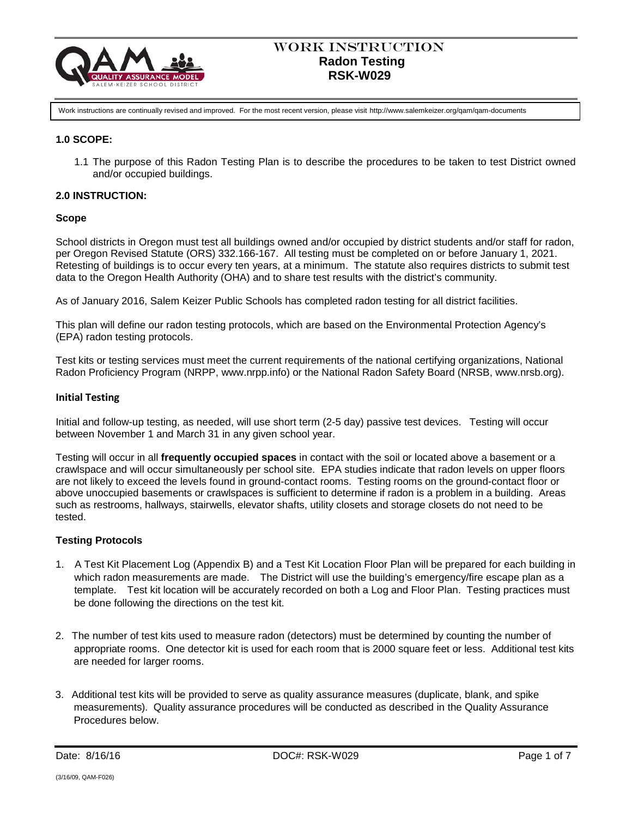

Work instructions are continually revised and improved. For the most recent version, please visit http://www.salemkeizer.org/qam/qam-documents

# **1.0 SCOPE:**

1.1 The purpose of this Radon Testing Plan is to describe the procedures to be taken to test District owned and/or occupied buildings.

# **2.0 INSTRUCTION:**

## **Scope**

School districts in Oregon must test all buildings owned and/or occupied by district students and/or staff for radon, per Oregon Revised Statute (ORS) 332.166-167. All testing must be completed on or before January 1, 2021. Retesting of buildings is to occur every ten years, at a minimum. The statute also requires districts to submit test data to the Oregon Health Authority (OHA) and to share test results with the district's community.

As of January 2016, Salem Keizer Public Schools has completed radon testing for all district facilities.

This plan will define our radon testing protocols, which are based on the Environmental Protection Agency's (EPA) radon testing protocols.

Test kits or testing services must meet the current requirements of the national certifying organizations, National Radon Proficiency Program (NRPP, www.nrpp.info) or the National Radon Safety Board (NRSB, www.nrsb.org).

## **Initial Testing**

Initial and follow-up testing, as needed, will use short term (2-5 day) passive test devices. Testing will occur between November 1 and March 31 in any given school year.

Testing will occur in all **frequently occupied spaces** in contact with the soil or located above a basement or a crawlspace and will occur simultaneously per school site. EPA studies indicate that radon levels on upper floors are not likely to exceed the levels found in ground-contact rooms. Testing rooms on the ground-contact floor or above unoccupied basements or crawlspaces is sufficient to determine if radon is a problem in a building. Areas such as restrooms, hallways, stairwells, elevator shafts, utility closets and storage closets do not need to be tested.

## **Testing Protocols**

- 1. A Test Kit Placement Log (Appendix B) and a Test Kit Location Floor Plan will be prepared for each building in which radon measurements are made. The District will use the building's emergency/fire escape plan as a template. Test kit location will be accurately recorded on both a Log and Floor Plan. Testing practices must be done following the directions on the test kit.
- 2. The number of test kits used to measure radon (detectors) must be determined by counting the number of appropriate rooms. One detector kit is used for each room that is 2000 square feet or less. Additional test kits are needed for larger rooms.
- 3. Additional test kits will be provided to serve as quality assurance measures (duplicate, blank, and spike measurements). Quality assurance procedures will be conducted as described in the Quality Assurance Procedures below.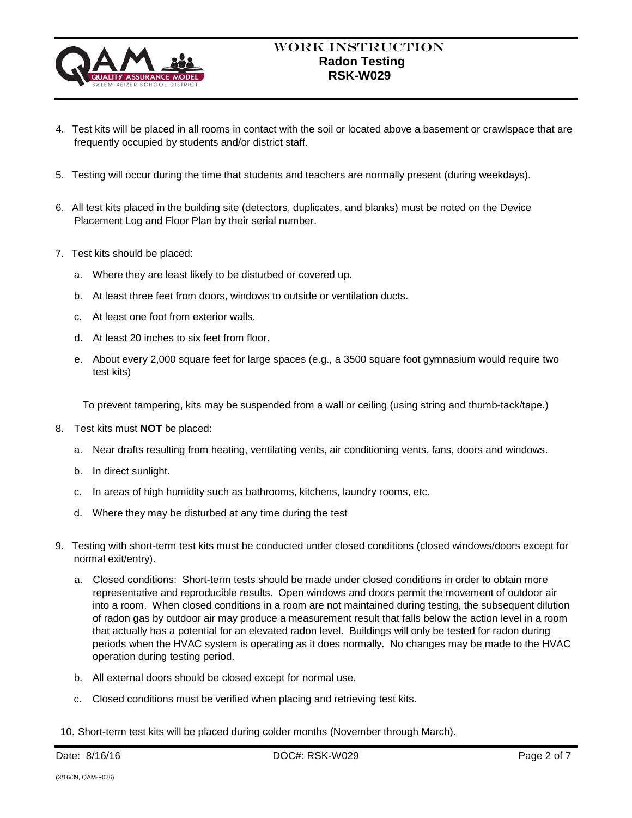

- 4. Test kits will be placed in all rooms in contact with the soil or located above a basement or crawlspace that are frequently occupied by students and/or district staff.
- 5. Testing will occur during the time that students and teachers are normally present (during weekdays).
- 6. All test kits placed in the building site (detectors, duplicates, and blanks) must be noted on the Device Placement Log and Floor Plan by their serial number.
- 7. Test kits should be placed:
	- a. Where they are least likely to be disturbed or covered up.
	- b. At least three feet from doors, windows to outside or ventilation ducts.
	- c. At least one foot from exterior walls.
	- d. At least 20 inches to six feet from floor.
	- e. About every 2,000 square feet for large spaces (e.g., a 3500 square foot gymnasium would require two test kits)

To prevent tampering, kits may be suspended from a wall or ceiling (using string and thumb-tack/tape.)

- 8. Test kits must **NOT** be placed:
	- a. Near drafts resulting from heating, ventilating vents, air conditioning vents, fans, doors and windows.
	- b. In direct sunlight.
	- c. In areas of high humidity such as bathrooms, kitchens, laundry rooms, etc.
	- d. Where they may be disturbed at any time during the test
- 9. Testing with short-term test kits must be conducted under closed conditions (closed windows/doors except for normal exit/entry).
	- a. Closed conditions: Short-term tests should be made under closed conditions in order to obtain more representative and reproducible results. Open windows and doors permit the movement of outdoor air into a room. When closed conditions in a room are not maintained during testing, the subsequent dilution of radon gas by outdoor air may produce a measurement result that falls below the action level in a room that actually has a potential for an elevated radon level. Buildings will only be tested for radon during periods when the HVAC system is operating as it does normally. No changes may be made to the HVAC operation during testing period.
	- b. All external doors should be closed except for normal use.
	- c. Closed conditions must be verified when placing and retrieving test kits.
- 10. Short-term test kits will be placed during colder months (November through March).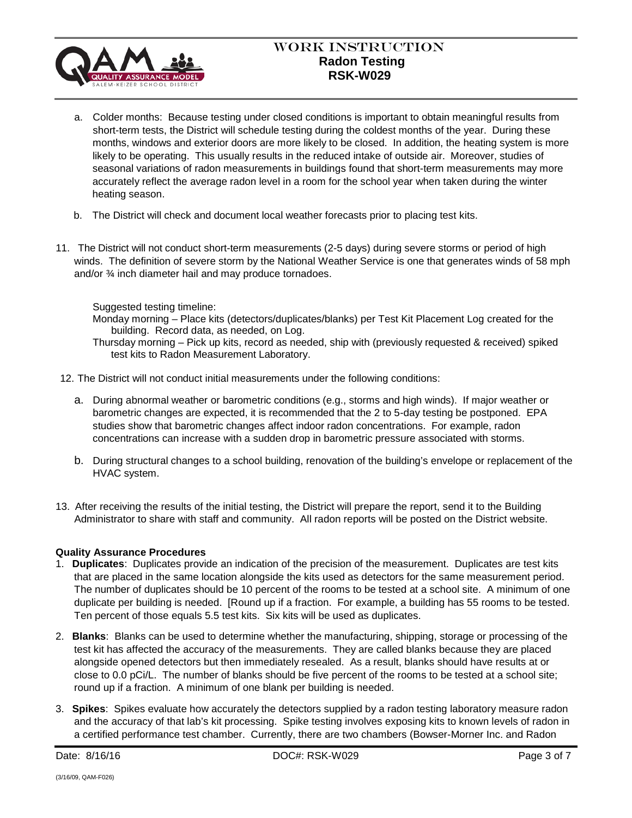

# Work Instruction  **Radon Testing RSK-W029**

- a. Colder months: Because testing under closed conditions is important to obtain meaningful results from short-term tests, the District will schedule testing during the coldest months of the year. During these months, windows and exterior doors are more likely to be closed. In addition, the heating system is more likely to be operating. This usually results in the reduced intake of outside air. Moreover, studies of seasonal variations of radon measurements in buildings found that short-term measurements may more accurately reflect the average radon level in a room for the school year when taken during the winter heating season.
- b. The District will check and document local weather forecasts prior to placing test kits.
- 11. The District will not conduct short-term measurements (2-5 days) during severe storms or period of high winds. The definition of severe storm by the National Weather Service is one that generates winds of 58 mph and/or ¾ inch diameter hail and may produce tornadoes.

Suggested testing timeline:

- Monday morning Place kits (detectors/duplicates/blanks) per Test Kit Placement Log created for the building. Record data, as needed, on Log.
- Thursday morning Pick up kits, record as needed, ship with (previously requested & received) spiked test kits to Radon Measurement Laboratory.
- 12. The District will not conduct initial measurements under the following conditions:
	- a. During abnormal weather or barometric conditions (e.g., storms and high winds). If major weather or barometric changes are expected, it is recommended that the 2 to 5-day testing be postponed. EPA studies show that barometric changes affect indoor radon concentrations. For example, radon concentrations can increase with a sudden drop in barometric pressure associated with storms.
	- b. During structural changes to a school building, renovation of the building's envelope or replacement of the HVAC system.
- 13. After receiving the results of the initial testing, the District will prepare the report, send it to the Building Administrator to share with staff and community. All radon reports will be posted on the District website.

## **Quality Assurance Procedures**

- 1. **Duplicates**: Duplicates provide an indication of the precision of the measurement. Duplicates are test kits that are placed in the same location alongside the kits used as detectors for the same measurement period. The number of duplicates should be 10 percent of the rooms to be tested at a school site. A minimum of one duplicate per building is needed. [Round up if a fraction. For example, a building has 55 rooms to be tested. Ten percent of those equals 5.5 test kits. Six kits will be used as duplicates.
- 2. **Blanks**: Blanks can be used to determine whether the manufacturing, shipping, storage or processing of the test kit has affected the accuracy of the measurements. They are called blanks because they are placed alongside opened detectors but then immediately resealed. As a result, blanks should have results at or close to 0.0 pCi/L. The number of blanks should be five percent of the rooms to be tested at a school site; round up if a fraction. A minimum of one blank per building is needed.
- 3. **Spikes**: Spikes evaluate how accurately the detectors supplied by a radon testing laboratory measure radon and the accuracy of that lab's kit processing. Spike testing involves exposing kits to known levels of radon in a certified performance test chamber. Currently, there are two chambers (Bowser-Morner Inc. and Radon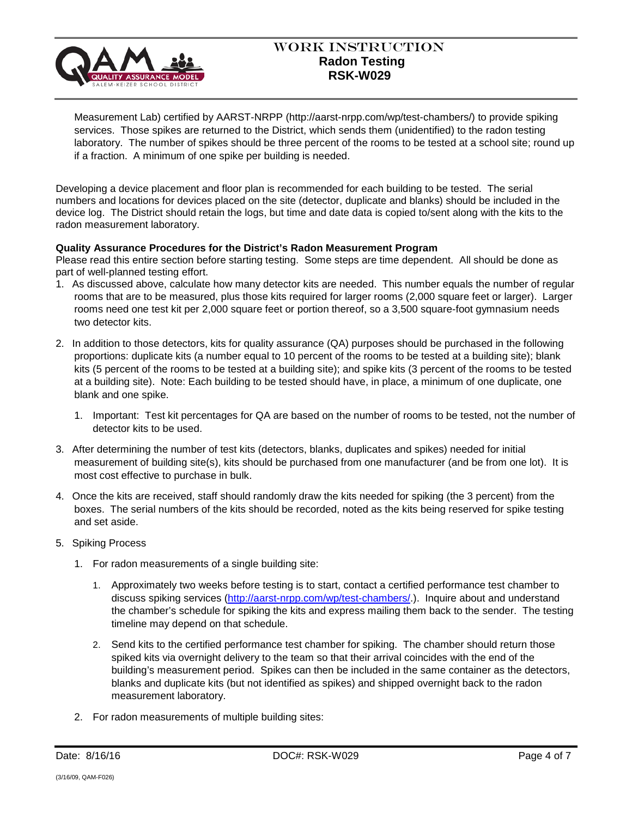

# Work Instruction  **Radon Testing RSK-W029**

Measurement Lab) certified by AARST-NRPP (http://aarst-nrpp.com/wp/test-chambers/) to provide spiking services. Those spikes are returned to the District, which sends them (unidentified) to the radon testing laboratory. The number of spikes should be three percent of the rooms to be tested at a school site; round up if a fraction. A minimum of one spike per building is needed.

Developing a device placement and floor plan is recommended for each building to be tested. The serial numbers and locations for devices placed on the site (detector, duplicate and blanks) should be included in the device log. The District should retain the logs, but time and date data is copied to/sent along with the kits to the radon measurement laboratory.

# **Quality Assurance Procedures for the District's Radon Measurement Program**

Please read this entire section before starting testing. Some steps are time dependent. All should be done as part of well-planned testing effort.

- 1. As discussed above, calculate how many detector kits are needed. This number equals the number of regular rooms that are to be measured, plus those kits required for larger rooms (2,000 square feet or larger). Larger rooms need one test kit per 2,000 square feet or portion thereof, so a 3,500 square-foot gymnasium needs two detector kits.
- 2. In addition to those detectors, kits for quality assurance (QA) purposes should be purchased in the following proportions: duplicate kits (a number equal to 10 percent of the rooms to be tested at a building site); blank kits (5 percent of the rooms to be tested at a building site); and spike kits (3 percent of the rooms to be tested at a building site). Note: Each building to be tested should have, in place, a minimum of one duplicate, one blank and one spike.
	- 1. Important: Test kit percentages for QA are based on the number of rooms to be tested, not the number of detector kits to be used.
- 3. After determining the number of test kits (detectors, blanks, duplicates and spikes) needed for initial measurement of building site(s), kits should be purchased from one manufacturer (and be from one lot). It is most cost effective to purchase in bulk.
- 4. Once the kits are received, staff should randomly draw the kits needed for spiking (the 3 percent) from the boxes. The serial numbers of the kits should be recorded, noted as the kits being reserved for spike testing and set aside.
- 5. Spiking Process
	- 1. For radon measurements of a single building site:
		- 1. Approximately two weeks before testing is to start, contact a certified performance test chamber to discuss spiking services [\(http://aarst-nrpp.com/wp/test-chambers/.](http://aarst-nrpp.com/wp/test-chambers/)). Inquire about and understand the chamber's schedule for spiking the kits and express mailing them back to the sender. The testing timeline may depend on that schedule.
		- 2. Send kits to the certified performance test chamber for spiking. The chamber should return those spiked kits via overnight delivery to the team so that their arrival coincides with the end of the building's measurement period. Spikes can then be included in the same container as the detectors, blanks and duplicate kits (but not identified as spikes) and shipped overnight back to the radon measurement laboratory.
	- 2. For radon measurements of multiple building sites: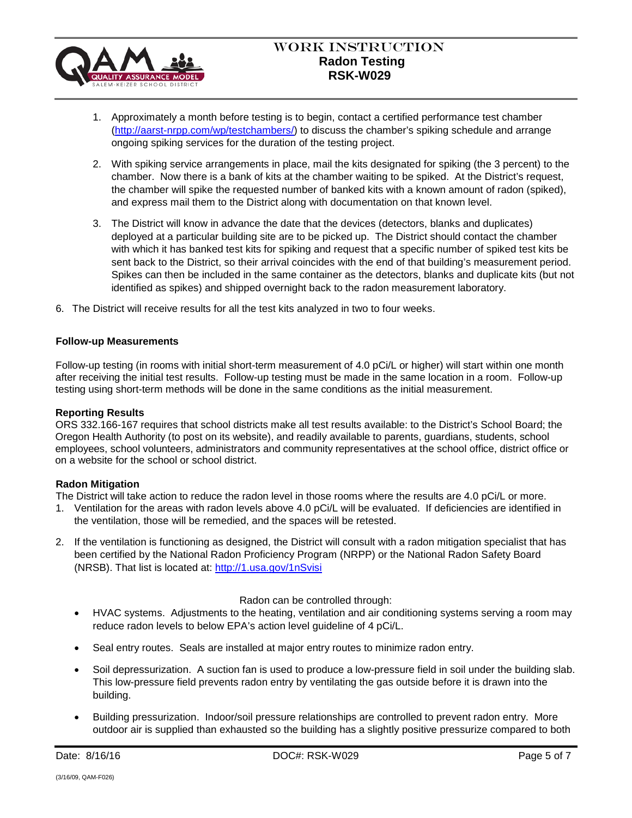

- 1. Approximately a month before testing is to begin, contact a certified performance test chamber [\(http://aarst-nrpp.com/wp/testchambers/\)](http://aarst-nrpp.com/wp/testchambers/) to discuss the chamber's spiking schedule and arrange ongoing spiking services for the duration of the testing project.
- 2. With spiking service arrangements in place, mail the kits designated for spiking (the 3 percent) to the chamber. Now there is a bank of kits at the chamber waiting to be spiked. At the District's request, the chamber will spike the requested number of banked kits with a known amount of radon (spiked), and express mail them to the District along with documentation on that known level.
- 3. The District will know in advance the date that the devices (detectors, blanks and duplicates) deployed at a particular building site are to be picked up. The District should contact the chamber with which it has banked test kits for spiking and request that a specific number of spiked test kits be sent back to the District, so their arrival coincides with the end of that building's measurement period. Spikes can then be included in the same container as the detectors, blanks and duplicate kits (but not identified as spikes) and shipped overnight back to the radon measurement laboratory.
- 6. The District will receive results for all the test kits analyzed in two to four weeks.

#### **Follow-up Measurements**

Follow-up testing (in rooms with initial short-term measurement of 4.0 pCi/L or higher) will start within one month after receiving the initial test results. Follow-up testing must be made in the same location in a room. Follow-up testing using short-term methods will be done in the same conditions as the initial measurement.

#### **Reporting Results**

ORS 332.166-167 requires that school districts make all test results available: to the District's School Board; the Oregon Health Authority (to post on its website), and readily available to parents, guardians, students, school employees, school volunteers, administrators and community representatives at the school office, district office or on a website for the school or school district.

## **Radon Mitigation**

The District will take action to reduce the radon level in those rooms where the results are 4.0 pCi/L or more.

- 1. Ventilation for the areas with radon levels above 4.0 pCi/L will be evaluated. If deficiencies are identified in the ventilation, those will be remedied, and the spaces will be retested.
- 2. If the ventilation is functioning as designed, the District will consult with a radon mitigation specialist that has been certified by the National Radon Proficiency Program (NRPP) or the National Radon Safety Board (NRSB). That list is located at:<http://1.usa.gov/1nSvisi>

## Radon can be controlled through:

- HVAC systems. Adjustments to the heating, ventilation and air conditioning systems serving a room may reduce radon levels to below EPA's action level guideline of 4 pCi/L.
- Seal entry routes. Seals are installed at major entry routes to minimize radon entry.
- Soil depressurization. A suction fan is used to produce a low-pressure field in soil under the building slab. This low-pressure field prevents radon entry by ventilating the gas outside before it is drawn into the building.
- Building pressurization. Indoor/soil pressure relationships are controlled to prevent radon entry. More outdoor air is supplied than exhausted so the building has a slightly positive pressurize compared to both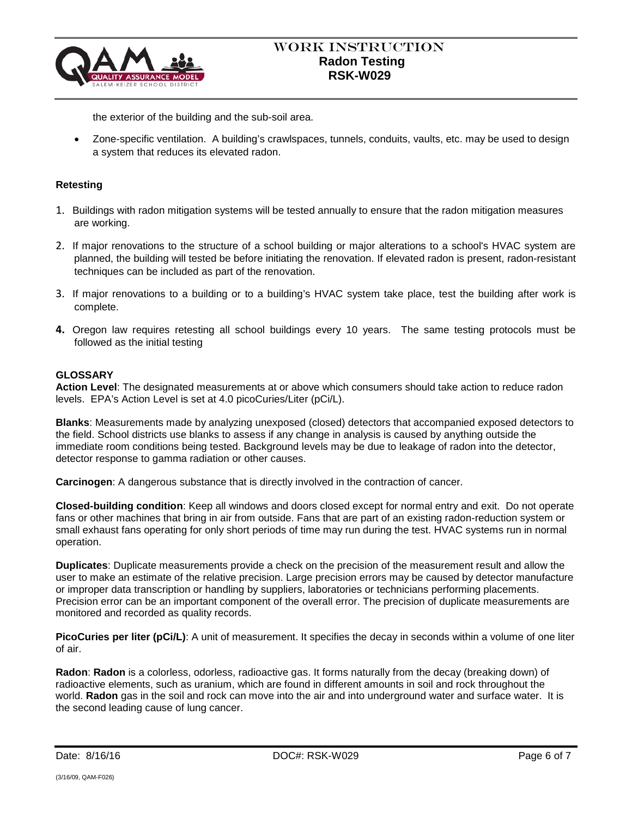

the exterior of the building and the sub-soil area.

• Zone-specific ventilation. A building's crawlspaces, tunnels, conduits, vaults, etc. may be used to design a system that reduces its elevated radon.

# **Retesting**

- 1. Buildings with radon mitigation systems will be tested annually to ensure that the radon mitigation measures are working.
- 2. If major renovations to the structure of a school building or major alterations to a school's HVAC system are planned, the building will tested be before initiating the renovation. If elevated radon is present, radon-resistant techniques can be included as part of the renovation.
- 3. If major renovations to a building or to a building's HVAC system take place, test the building after work is complete.
- **4.** Oregon law requires retesting all school buildings every 10 years. The same testing protocols must be followed as the initial testing

## **GLOSSARY**

**Action Level**: The designated measurements at or above which consumers should take action to reduce radon levels. EPA's Action Level is set at 4.0 picoCuries/Liter (pCi/L).

**Blanks**: Measurements made by analyzing unexposed (closed) detectors that accompanied exposed detectors to the field. School districts use blanks to assess if any change in analysis is caused by anything outside the immediate room conditions being tested. Background levels may be due to leakage of radon into the detector, detector response to gamma radiation or other causes.

**Carcinogen**: A dangerous substance that is directly involved in the contraction of cancer.

**Closed-building condition**: Keep all windows and doors closed except for normal entry and exit. Do not operate fans or other machines that bring in air from outside. Fans that are part of an existing radon-reduction system or small exhaust fans operating for only short periods of time may run during the test. HVAC systems run in normal operation.

**Duplicates**: Duplicate measurements provide a check on the precision of the measurement result and allow the user to make an estimate of the relative precision. Large precision errors may be caused by detector manufacture or improper data transcription or handling by suppliers, laboratories or technicians performing placements. Precision error can be an important component of the overall error. The precision of duplicate measurements are monitored and recorded as quality records.

**PicoCuries per liter (pCi/L)**: A unit of measurement. It specifies the decay in seconds within a volume of one liter of air.

**Radon**: **Radon** is a colorless, odorless, radioactive gas. It forms naturally from the decay (breaking down) of radioactive elements, such as uranium, which are found in different amounts in soil and rock throughout the world. **Radon** gas in the soil and rock can move into the air and into underground water and surface water. It is the second leading cause of lung cancer.